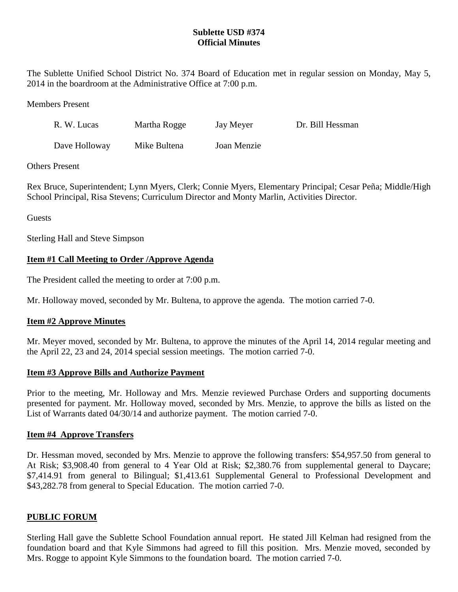# **Sublette USD #374 Official Minutes**

The Sublette Unified School District No. 374 Board of Education met in regular session on Monday, May 5, 2014 in the boardroom at the Administrative Office at 7:00 p.m.

Members Present

| R. W. Lucas   | Martha Rogge | Jay Meyer   | Dr. Bill Hessman |
|---------------|--------------|-------------|------------------|
| Dave Holloway | Mike Bultena | Joan Menzie |                  |

## Others Present

Rex Bruce, Superintendent; Lynn Myers, Clerk; Connie Myers, Elementary Principal; Cesar Peña; Middle/High School Principal, Risa Stevens; Curriculum Director and Monty Marlin, Activities Director.

Guests

Sterling Hall and Steve Simpson

## **Item #1 Call Meeting to Order /Approve Agenda**

The President called the meeting to order at 7:00 p.m.

Mr. Holloway moved, seconded by Mr. Bultena, to approve the agenda. The motion carried 7-0.

## **Item #2 Approve Minutes**

Mr. Meyer moved, seconded by Mr. Bultena, to approve the minutes of the April 14, 2014 regular meeting and the April 22, 23 and 24, 2014 special session meetings. The motion carried 7-0.

#### **Item #3 Approve Bills and Authorize Payment**

Prior to the meeting, Mr. Holloway and Mrs. Menzie reviewed Purchase Orders and supporting documents presented for payment. Mr. Holloway moved, seconded by Mrs. Menzie, to approve the bills as listed on the List of Warrants dated 04/30/14 and authorize payment. The motion carried 7-0.

## **Item #4 Approve Transfers**

Dr. Hessman moved, seconded by Mrs. Menzie to approve the following transfers: \$54,957.50 from general to At Risk; \$3,908.40 from general to 4 Year Old at Risk; \$2,380.76 from supplemental general to Daycare; \$7,414.91 from general to Bilingual; \$1,413.61 Supplemental General to Professional Development and \$43,282.78 from general to Special Education. The motion carried 7-0.

#### **PUBLIC FORUM**

Sterling Hall gave the Sublette School Foundation annual report. He stated Jill Kelman had resigned from the foundation board and that Kyle Simmons had agreed to fill this position. Mrs. Menzie moved, seconded by Mrs. Rogge to appoint Kyle Simmons to the foundation board. The motion carried 7-0.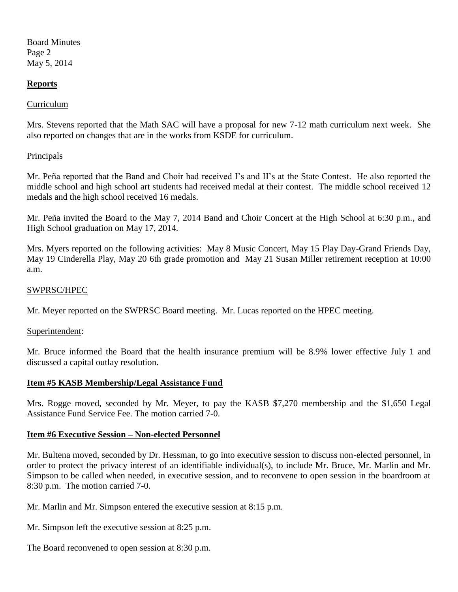Board Minutes Page 2 May 5, 2014

#### **Reports**

#### Curriculum

Mrs. Stevens reported that the Math SAC will have a proposal for new 7-12 math curriculum next week. She also reported on changes that are in the works from KSDE for curriculum.

#### Principals

Mr. Peña reported that the Band and Choir had received I's and II's at the State Contest. He also reported the middle school and high school art students had received medal at their contest. The middle school received 12 medals and the high school received 16 medals.

Mr. Peña invited the Board to the May 7, 2014 Band and Choir Concert at the High School at 6:30 p.m., and High School graduation on May 17, 2014.

Mrs. Myers reported on the following activities: May 8 Music Concert, May 15 Play Day-Grand Friends Day, May 19 Cinderella Play, May 20 6th grade promotion and May 21 Susan Miller retirement reception at 10:00 a.m.

#### SWPRSC/HPEC

Mr. Meyer reported on the SWPRSC Board meeting. Mr. Lucas reported on the HPEC meeting.

#### Superintendent:

Mr. Bruce informed the Board that the health insurance premium will be 8.9% lower effective July 1 and discussed a capital outlay resolution.

#### **Item #5 KASB Membership/Legal Assistance Fund**

Mrs. Rogge moved, seconded by Mr. Meyer, to pay the KASB \$7,270 membership and the \$1,650 Legal Assistance Fund Service Fee. The motion carried 7-0.

#### **Item #6 Executive Session – Non-elected Personnel**

Mr. Bultena moved, seconded by Dr. Hessman, to go into executive session to discuss non-elected personnel, in order to protect the privacy interest of an identifiable individual(s), to include Mr. Bruce, Mr. Marlin and Mr. Simpson to be called when needed, in executive session, and to reconvene to open session in the boardroom at 8:30 p.m. The motion carried 7-0.

Mr. Marlin and Mr. Simpson entered the executive session at 8:15 p.m.

Mr. Simpson left the executive session at 8:25 p.m.

The Board reconvened to open session at 8:30 p.m.